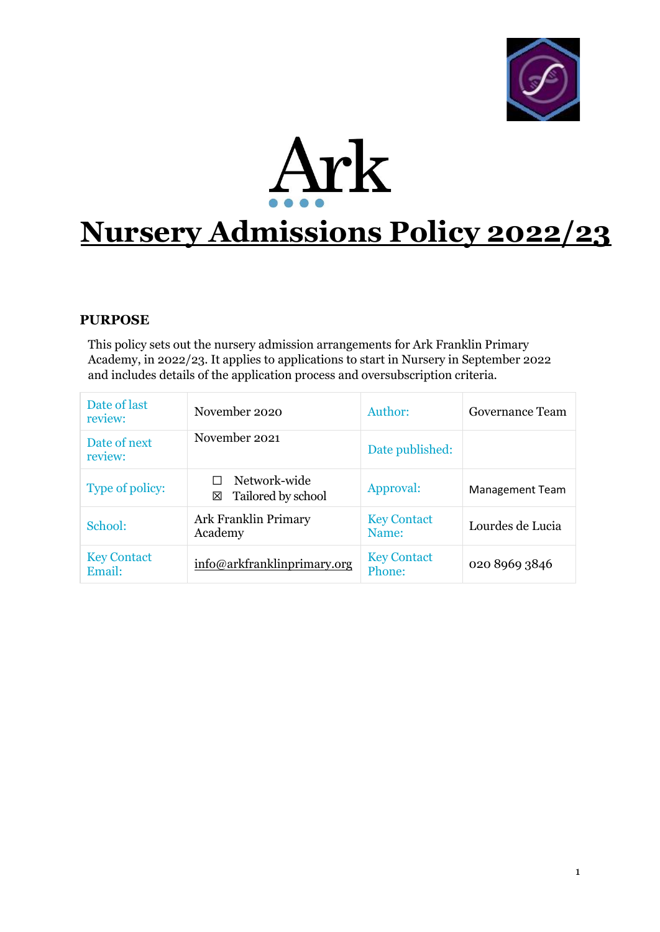



# **Nursery Admissions Policy 2022/23**

## **PURPOSE**

This policy sets out the nursery admission arrangements for Ark Franklin Primary Academy, in 2022/23. It applies to applications to start in Nursery in September 2022 and includes details of the application process and oversubscription criteria.

| Date of last<br>review:      | November 2020                           | Author:                      | Governance Team        |
|------------------------------|-----------------------------------------|------------------------------|------------------------|
| Date of next<br>review:      | November 2021                           | Date published:              |                        |
| Type of policy:              | Network-wide<br>Tailored by school<br>⊠ | Approval:                    | <b>Management Team</b> |
| School:                      | Ark Franklin Primary<br>Academy         | <b>Key Contact</b><br>Name:  | Lourdes de Lucia       |
| <b>Key Contact</b><br>Email: | info@arkfranklinprimary.org             | <b>Key Contact</b><br>Phone: | 020 8969 3846          |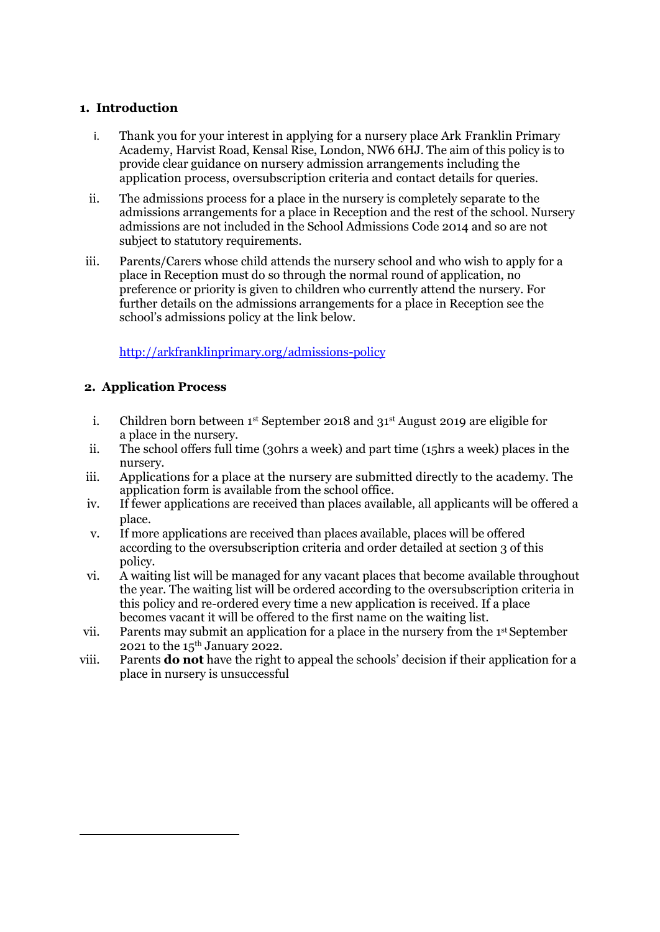#### **1. Introduction**

- i. Thank you for your interest in applying for a nursery place Ark Franklin Primary Academy, Harvist Road, Kensal Rise, London, NW6 6HJ. The aim of this policy is to provide clear guidance on nursery admission arrangements including the application process, oversubscription criteria and contact details for queries.
- ii. The admissions process for a place in the nursery is completely separate to the admissions arrangements for a place in Reception and the rest of the school. Nursery admissions are not included in the School Admissions Code 2014 and so are not subject to statutory requirements.
- iii. Parents/Carers whose child attends the nursery school and who wish to apply for a place in Reception must do so through the normal round of application, no preference or priority is given to children who currently attend the nursery. For further details on the admissions arrangements for a place in Reception see the school's admissions policy at the link below.

<http://arkfranklinprimary.org/admissions-policy>

#### **2. Application Process**

- i. Children born between 1st September 2018 and 31st August 2019 are eligible for a place in the nursery.
- ii. The school offers full time (30hrs a week) and part time (15hrs a week) places in the nursery.
- iii. Applications for a place at the nursery are submitted directly to the academy. The application form is available from the school office.
- iv. If fewer applications are received than places available, all applicants will be offered a place.
- v. If more applications are received than places available, places will be offered according to the oversubscription criteria and order detailed at section 3 of this policy.
- vi. A waiting list will be managed for any vacant places that become available throughout the year. The waiting list will be ordered according to the oversubscription criteria in this policy and re-ordered every time a new application is received. If a place becomes vacant it will be offered to the first name on the waiting list.
- vii. Parents may submit an application for a place in the nursery from the 1st September 2021 to the  $15<sup>th</sup>$  January 2022.
- viii. Parents **do not** have the right to appeal the schools' decision if their application for a place in nursery is unsuccessful